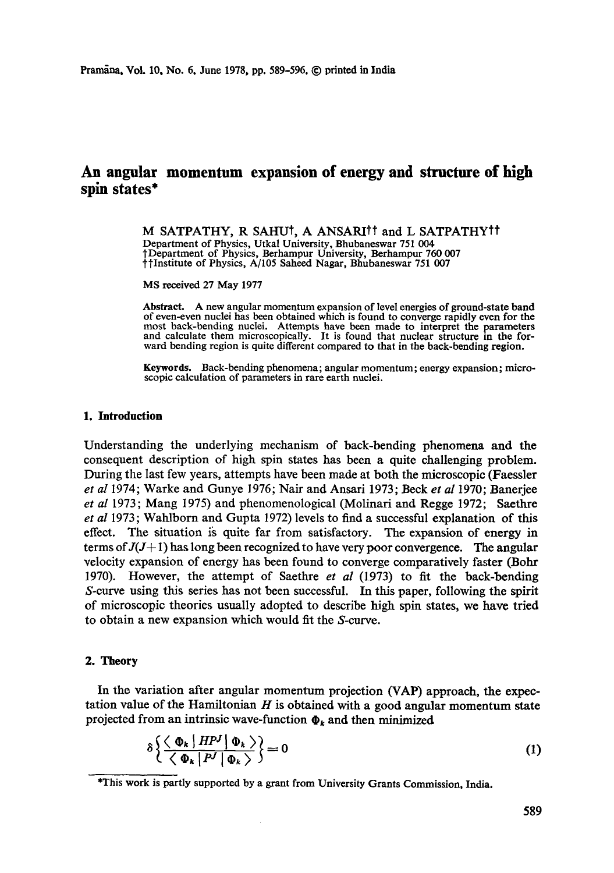# **An angular momentum expansion of energy and structure of high spin states\***

M SATPATHY, R SAHUt, A ANSARItt and L SATPATHYtf Department of Physics, Utkal University, Bhubaneswar 751 004 tDepartment of Physics, Berhampur University, Berhampur 760 007 ~tInstitute of Physics, A/105 Saheed Nagar, Bhubaneswar 751 007

MS received 27 May 1977

Abstract. A new angular momentum expansion of level energies of ground-state **band**  of even-even nuclei has been obtained which is found to converge rapidly even for the most back-bending nuclei. Attempts have been made to interpret the parameters and calculate them microscopically. It is found that nuclear structure in the forward bending region is quite different compared to that in the back-bending region.

**Keywords.** Back-bending phenomena; angular momentum; energy expansion; microscopic calculation of parameters in rare earth nuclei.

#### **1. Introduction**

Understanding the underlying mechanism of back-bending phenomena and the consequent description of high spin states has been a quite challenging problem. During the last few years, attempts have been made at both the microscopic (Faessler *et al* 1974; Warke and Gunye 1976; Nair and Ansari 1973; Beck *et al* 1970; Banerjee *et al* 1973; Mang 1975) and phenomenological (Molinari and Regge 1972; Saethre *et al* 1973; Wahlborn and Gupta 1972) levels to find a successful explanation of this effect. The situation is quite far from satisfactory. The expansion of energy in terms of  $J(J+1)$  has long been recognized to have very poor convergence. The angular velocity expansion of energy has been found to converge comparatively faster (Bohr 1970). However, the attempt of Saethre *et al* (1973) to fit the back-bending S-curve using this series has not been successful. In this paper, following the spirit of microscopic theories usually adopted to describe high spin states, we have tried to obtain a new expansion which would fit the S-curve.

### 2. **Theory**

In the variation after angular momentum projection (VAP) approach, the expectation value of the Hamiltonian  $H$  is obtained with a good angular momentum state projected from an intrinsic wave-function  $\Phi_k$  and then minimized

$$
\delta \left\{ \frac{\langle \Phi_k | H^{p} | \Phi_k \rangle}{\langle \Phi_k | P' | \Phi_k \rangle} \right\} = 0 \tag{1}
$$

<sup>\*</sup>This work is partly supported by a grant from University Grants Commission, India.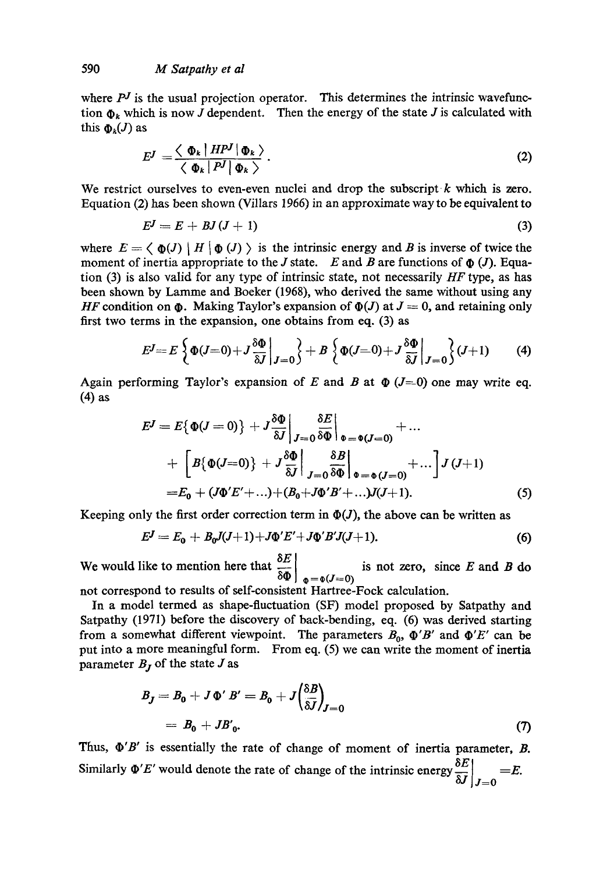where  $P<sup>J</sup>$  is the usual projection operator. This determines the intrinsic wavefunction  $\Phi_k$  which is now J dependent. Then the energy of the state J is calculated with this  $\Phi_k(J)$  as

$$
E^J = \frac{\langle \Phi_k | HP^J | \Phi_k \rangle}{\langle \Phi_k | P^J | \Phi_k \rangle}.
$$
 (2)

We restrict ourselves to even-even nuclei and drop the subscript  $k$  which is zero. Equation (2) has been shown (Villars 1966) in an approximate way to be equivalent to

$$
E^J = E + BJ(J+1) \tag{3}
$$

where  $E = \langle \Phi(J) | H | \Phi(J) \rangle$  is the intrinsic energy and B is inverse of twice the moment of inertia appropriate to the J state. E and B are functions of  $\phi$  (J). Equation (3) is also valid for any type of intrinsic state, not necessarily *HF* type, as has been shown by Lamme and Boeker (1968), who derived the same without using any *HF* condition on  $\Phi$ . Making Taylor's expansion of  $\Phi(J)$  at  $J = 0$ , and retaining only first two terms in the expansion, one obtains from eq. (3) as

$$
E^J = E\left\{\Phi(J=0) + J\frac{\delta\Phi}{\delta J}\bigg|_{J=0}\right\} + B\left\{\Phi(J=0) + J\frac{\delta\Phi}{\delta J}\bigg|_{J=0}\right\}(J+1) \tag{4}
$$

Again performing Taylor's expansion of E and B at  $\Phi$  (J=0) one may write eq. **(4) as** 

$$
E^{J} = E\{\Phi(J=0)\} + J\frac{\delta\Phi}{\delta J}\bigg|_{J=0} \frac{\delta E}{\delta\Phi}\bigg|_{\Phi=\Phi(J=0)} + \dots + \bigg[B\{\Phi(J=0)\} + J\frac{\delta\Phi}{\delta J}\bigg|_{J=0} \frac{\delta B}{\delta\Phi}\bigg|_{\Phi=\Phi(J=0)} + \dots \bigg] J(J+1) = E_0 + (J\Phi'E' + \dots) + (B_0 + J\Phi'B' + \dots)J(J+1). \tag{5}
$$

Keeping only the first order correction term in  $\Phi(J)$ , the above can be written as

$$
E^{J} = E_0 + B_0 J(J+1) + J\Phi' E' + J\Phi' B' J(J+1). \tag{6}
$$

We would like to mention here that  $\frac{32}{10}$  is not zero, since E and B do  $\delta \Phi$   $\phi = \phi(J=0)$ 

not correspond to results of self-consistent Hartree-Fock calculation.

In a model termed as shape-fluctuation (SF) model proposed by Satpathy and Satpathy (1971) before the discovery of back-bending, eq. (6) was derived starting from a somewhat different viewpoint. The parameters  $B_0$ ,  $\Phi' B'$  and  $\Phi' E'$  can be put into a more meaningful form. From eq. (5) we can write the moment of inertia parameter  $B_j$  of the state  $J$  as

$$
B_J = B_0 + J \Phi' B' = B_0 + J \left(\frac{\delta B}{\delta J}\right)_{J=0}
$$
  
=  $B_0 + J B'_0$ . (7)

Thus,  $\Phi'B'$  is essentially the rate of change of moment of inertia parameter,  $B$ . Similarly  $\Phi'E'$  would denote the rate of change of the intrinsic energy  $\frac{\partial E}{\partial J}\Big|_{J=0} = E$ .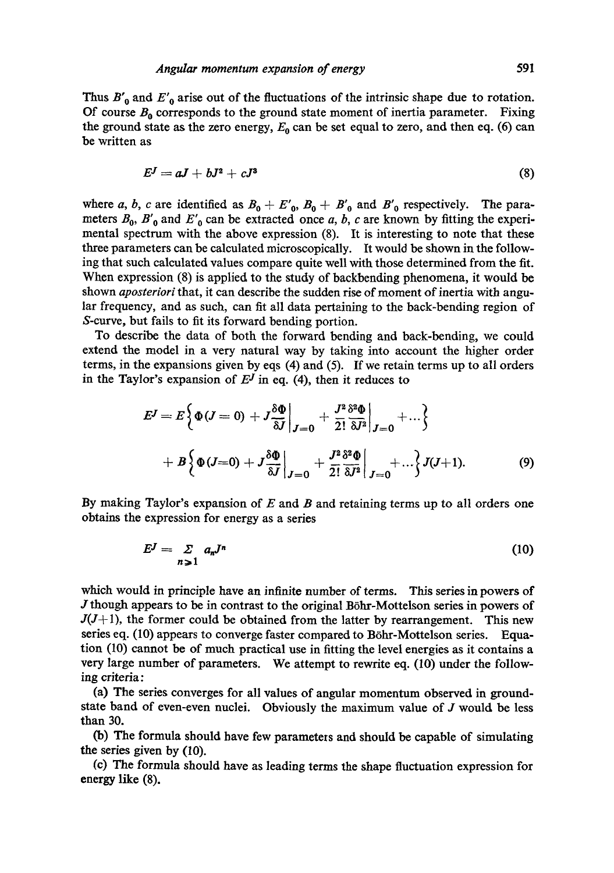Thus  $B'_{0}$  and  $E'_{0}$  arise out of the fluctuations of the intrinsic shape due to rotation. Of course  $B_0$  corresponds to the ground state moment of inertia parameter. Fixing the ground state as the zero energy,  $E_0$  can be set equal to zero, and then eq. (6) can be written as

$$
E^J = aJ + bJ^2 + cJ^3 \tag{8}
$$

where a, b, c are identified as  $B_0 + E'_0$ ,  $B_0 + B'_0$  and  $B'_0$  respectively. The parameters  $B_0$ ,  $B'_0$  and  $E'_0$  can be extracted once a, b, c are known by fitting the experimental spectrum with the above expression (8). It is interesting to note that these three parameters can be calculated microscopically. It would be shown in the following that such calculated values compare quite well with those determined from the fit. When expression (8) is applied to the study of backbending phenomena, it would be shown *aposteriori* that, it can describe the sudden rise of moment of inertia with angular frequency, and as such, can fit all data pertaining to the back-bending region of S-curve, but fails to fit its forward bending portion.

To describe the data of both the forward bending and back-bending, we could extend the model in a very natural way by taking into account the higher order terms, in the expansions given by eqs (4) and (5). If we retain terms up to all orders in the Taylor's expansion of  $E<sup>J</sup>$  in eq. (4), then it reduces to

$$
E^{J} = E\left\{\Phi(J=0) + J\frac{\delta\Phi}{\delta J}\bigg|_{J=0} + \frac{J^{2}}{2!}\frac{\delta^{2}\Phi}{\delta J^{2}}\bigg|_{J=0} + ...\right\}
$$
  
+ 
$$
B\left\{\Phi(J=0) + J\frac{\delta\Phi}{\delta J}\bigg|_{J=0} + \frac{J^{2}}{2!}\frac{\delta^{2}\Phi}{\delta J^{2}}\bigg|_{J=0} + ...\right\}J(J+1).
$$
 (9)

By making Taylor's expansion of  $E$  and  $B$  and retaining terms up to all orders one obtains the expression for energy as a series

$$
E^J = \sum_{n \geq 1} a_n J^n \tag{10}
$$

which would in principle have an infinite number of terms. This series in powers of  $J$  though appears to be in contrast to the original Böhr-Mottelson series in powers of  $J(J+1)$ , the former could be obtained from the latter by rearrangement. This new series eq. (10) appears to converge faster compared to Böhr-Mottelson series. Equation (10) cannot be of much practical use in fitting the level energies as it contains a very large number of parameters. We attempt to rewrite eq. (10) under the following criteria:

(a) The series converges for all values of angular momentum observed in groundstate band of even-even nuclei. Obviously the maximum value of J would be less than 30.

(b) The formula should have few parameters and should be capable of simulating the series given by (10).

(c) The formula should have as leading terms the shape fluctuation expression for energy like (8).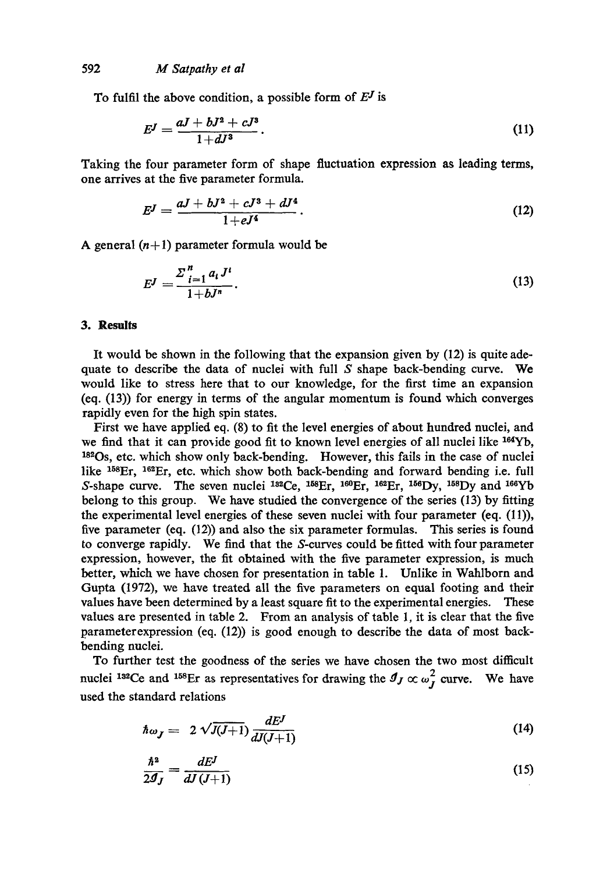To fulfil the above condition, a possible form of  $E<sup>J</sup>$  is

$$
E^J = \frac{aJ + bJ^2 + cJ^3}{1 + dJ^3}.
$$
 (11)

Taking the four parameter form of shape fluctuation expression as leading terms, one arrives at the five parameter formula.

$$
E^J = \frac{aJ + bJ^2 + cJ^3 + dJ^4}{1 + eJ^4}.
$$
 (12)

A general  $(n+1)$  parameter formula would be

$$
E^J = \frac{\sum_{i=1}^n a_i J^i}{1 + b J^n}.
$$
\n(13)

## **3. Results**

It would be shown in the following that the expansion given by (12) is quite adequate to describe the data of nuclei with full  $S$  shape back-bending curve. We would like to stress here that to our knowledge, for the first time an expansion (eq. (13)) for energy in terms of the angular momentum is found which converges rapidly even for the high spin states.

First we have applied eq. (8) to fit the level energies of about hundred nuclei, and we find that it can provide good fit to known level energies of all nuclei like  $164Yb$ , 182Os, etc. which show only back-bending. However, this fails in the case of nuclei like  $^{158}$ Er,  $^{162}$ Er, etc. which show both back-bending and forward bending i.e. full S-shape curve. The seven nuclei  ${}^{182}Ce$ ,  ${}^{168}Er$ ,  ${}^{160}Er$ ,  ${}^{162}Er$ ,  ${}^{156}Dy$ ,  ${}^{158}Dy$  and  ${}^{166}Yb$ belong to this group. We have studied the convergence of the series (13) by fitting the experimental level energies of these seven nuclei with four parameter (eq. (11)), five parameter (eq. (12)) and also the six parameter formulas. This series is found to converge rapidly. We find that the S-curves could be fitted with four parameter expression, however, the fit obtained with the five parameter expression, is much better, which we have chosen for presentation in table 1. Unlike in Wahlborn and Gupta (1972), we have treated all the five parameters on equal footing and their values have been determined by a least square fit to the experimental energies. These values are presented in table 2. From an analysis of table 1, it is clear that the five parameterexpression (eq. (12)) is good enough to describe the data of most backbending nuclei.

To further test the goodness of the series we have chosen the two most difficult nuclei <sup>132</sup>Ce and <sup>158</sup>Er as representatives for drawing the  $g_J \propto \omega_J^2$  curve. We have used the standard relations

$$
\hbar \omega_J = 2 \sqrt{J(J+1)} \frac{dE^J}{dJ(J+1)} \tag{14}
$$

$$
\frac{\hbar^2}{2g_J} = \frac{dE^J}{dJ(J+1)}\tag{15}
$$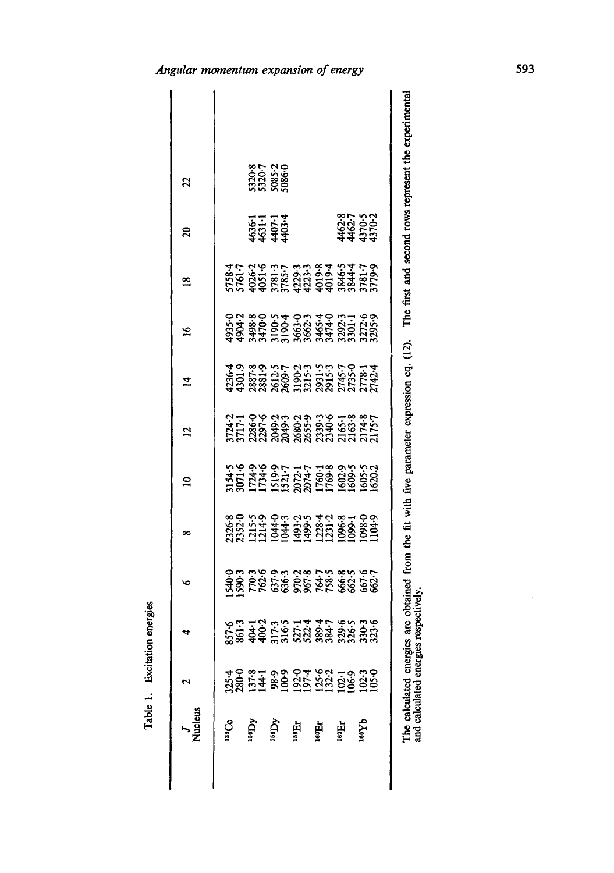| Vucleus          |                                                       |  | œ | ≘                                                                                                  | 2 | Ā | ڡ                                                                                                                                        | $\frac{8}{1}$                                                                                                                                | ន                                   | 2                                    |
|------------------|-------------------------------------------------------|--|---|----------------------------------------------------------------------------------------------------|---|---|------------------------------------------------------------------------------------------------------------------------------------------|----------------------------------------------------------------------------------------------------------------------------------------------|-------------------------------------|--------------------------------------|
| <b>Sac</b>       |                                                       |  |   |                                                                                                    |   |   |                                                                                                                                          |                                                                                                                                              |                                     |                                      |
| ۸də              | 28 27 38 38 37 38 38 39<br>38 37 38 38 38 38 39 39 39 |  |   | 154-5<br>071-6<br>072-531-7<br>072-1760-800-53<br>080-532-7<br>080-532-7<br>080-532-7<br>080-532-7 |   |   | $935389$<br>$93870$<br>$93870$<br>$95870$<br>$95870$<br>$95870$<br>$95870$<br>$95870$<br>$95870$<br>$9570$<br>$9570$<br>$9570$<br>$9570$ | $5758.4$<br>$5761.7$<br>$5761.7$<br>$5781.7$<br>$5781.7$<br>$5781.7$<br>$5729.3$<br>$5781.7$<br>$5781.7$<br>$5781.7$<br>$5781.7$<br>$5781.7$ |                                     |                                      |
| Ğ                |                                                       |  |   |                                                                                                    |   |   |                                                                                                                                          |                                                                                                                                              | <b>1967</b><br>1968<br>1968         | 5320-8<br>5320-7<br>5085-2<br>5086-0 |
| нg.              |                                                       |  |   |                                                                                                    |   |   |                                                                                                                                          |                                                                                                                                              |                                     |                                      |
| ae<br>Er         |                                                       |  |   |                                                                                                    |   |   |                                                                                                                                          |                                                                                                                                              |                                     |                                      |
| чHе              |                                                       |  |   |                                                                                                    |   |   |                                                                                                                                          |                                                                                                                                              |                                     |                                      |
| a <sub>X98</sub> |                                                       |  |   |                                                                                                    |   |   |                                                                                                                                          |                                                                                                                                              | 462.8<br>4462.7<br>4370.2<br>4370.2 |                                      |

Table 1. Excitation energies

The calculated energies are obtained from the fit with five parameter expression eq. (12). The first and second rows represent the experimental and calculated energies respectively.

## Angular momentum expansion of energy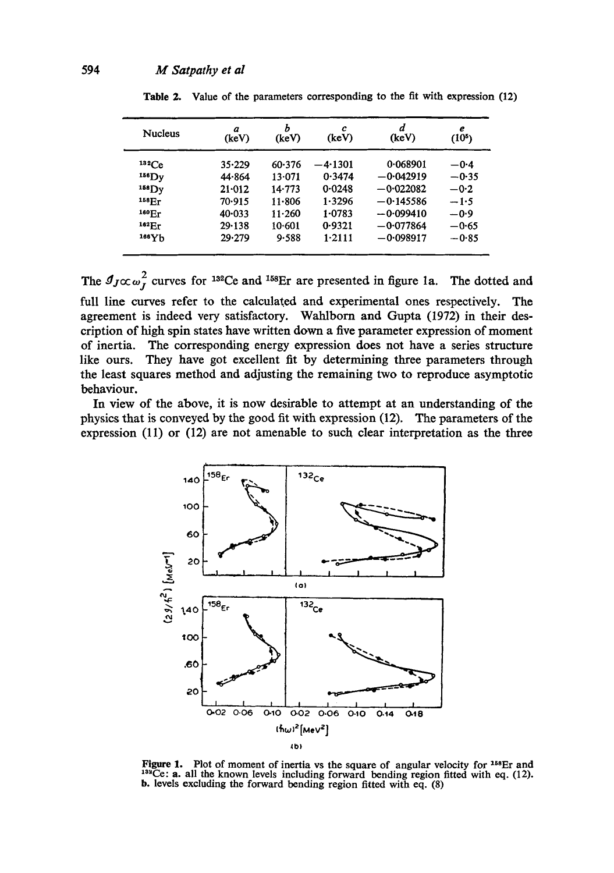| <b>Nucleus</b>     | a<br>(keV) | Ь<br>(keV) | c<br>(keV) | d<br>(keV)  | е<br>(10 <sup>5</sup> ) |
|--------------------|------------|------------|------------|-------------|-------------------------|
| $132$ Ce           | $35 - 229$ | 60.376     | $-4.1301$  | 0.068901    | $-0.4$                  |
| $156$ Dy           | 44.864     | 13.071     | 0.3474     | $-0.042919$ | $-0.35$                 |
| $158$ Dv           | $21 - 012$ | $14 - 773$ | 0.0248     | $-0.022082$ | $-0.2$                  |
| 158 <sub>Er</sub>  | 70.915     | 11.806     | 1.3296     | $-0.145586$ | $-1.5$                  |
| 160 F <sub>r</sub> | $40 - 033$ | $11 - 260$ | 1.0783     | $-0.099410$ | $-0.9$                  |
| 162 <sub>Fr</sub>  | $29 - 138$ | 10.601     | 0.9321     | $-0.077864$ | $-0.65$                 |
| 166V <sub>h</sub>  | 29.279     | 9.588      | $1-2111$   | $-0.098917$ | $-0.85$                 |

Table 2. Value of the parameters corresponding to the fit with expression (12)

The  $g_{J}\propto \omega_I^2$  curves for <sup>132</sup>Ce and <sup>158</sup>Er are presented in figure 1a. The dotted and full line curves refer to the calculated and experimental ones respectively. The agreement is indeed very satisfactory. Wahlborn and Gupta (1972) in their description of high spin states have written down a five parameter expression of moment of inertia. The corresponding energy expression does not have a series structure They have got excellent fit by determining three parameters through like ours. the least squares method and adjusting the remaining two to reproduce asymptotic behaviour.

In view of the above, it is now desirable to attempt at an understanding of the physics that is conveyed by the good fit with expression (12). The parameters of the expression  $(11)$  or  $(12)$  are not amenable to such clear interpretation as the three



Figure 1. Plot of moment of inertia vs the square of angular velocity for  $158$ Fr and <sup>132</sup>Ce: a. all the known levels including forward bending region fitted with eq. (12). b. levels excluding the forward bending region fitted with eq. (8)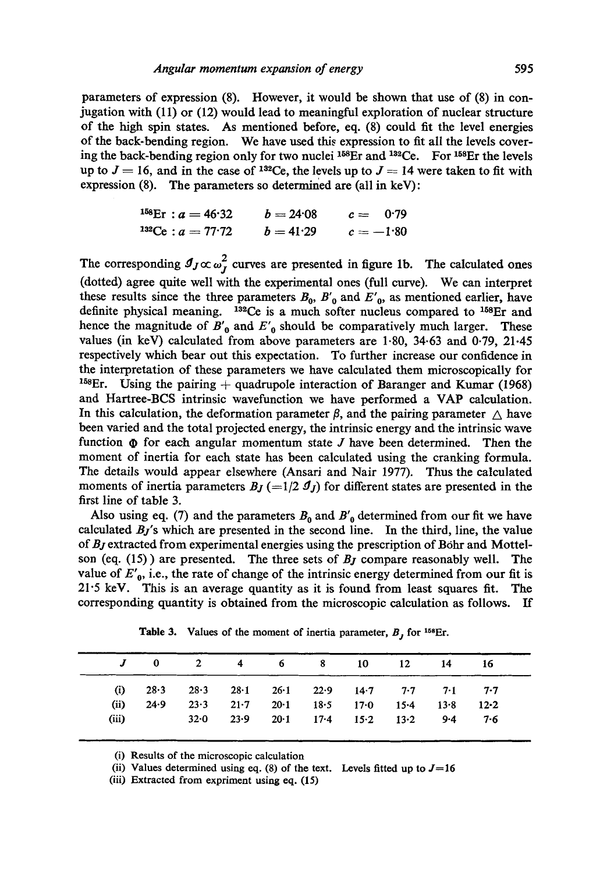parameters of expression (8). However, it would be shown that use of (8) in conjugation with (11) or (12) would lead to meaningful exploration of nuclear structure of the high spin states. As mentioned before, eq. (8) could fit the level energies of the back-benddng region. We have used this expression to fit all the levels covering the back-bending region only for two nuclei  $158Er$  and  $132Ce$ . For  $158Er$  the levels up to  $J = 16$ , and in the case of <sup>132</sup>Ce, the levels up to  $J = 14$  were taken to fit with expression (8). The parameters so determined are (all in keV):

$$
{}^{158}\text{Er} : a = 46.32 \qquad b = 24.08 \qquad c = 0.79
$$
\n
$$
{}^{132}\text{Ce} : a = 77.72 \qquad b = 41.29 \qquad c = -1.80
$$

The corresponding  $J_J \propto \omega_I^2$  curves are presented in figure 1b. The calculated ones (dotted) agree quite well with the experimental ones (full curve). We can interpret these results since the three parameters  $B_0$ ,  $B'_0$  and  $E'_0$ , as mentioned earlier, have definite physical meaning. <sup>132</sup>Ce is a much softer nucleus compared to <sup>158</sup>Er and hence the magnitude of  $B'_0$  and  $E'_0$  should be comparatively much larger. These values (in keV) calculated from above parameters are 1-80, 34.63 and 0.79, 21-45 respectively which bear out this expectation. To further increase our confidence in the interpretation of these parameters we have calculated them microscopically for <sup>158</sup>Er. Using the pairing  $+$  quadrupole interaction of Baranger and Kumar (1968) and Hartree-BCS intrinsic wavefunction we have performed a VAP calculation. In this calculation, the deformation parameter  $\beta$ , and the pairing parameter  $\triangle$  have been varied and the total projected energy, the intrinsic energy and the intrinsic wave function  $\Phi$  for each angular momentum state J have been determined. Then the moment of inertia for each state has been calculated using the cranking formula. The details would appear elsewhere (Ansari and Nair 1977). Thus the calculated moments of inertia parameters  $B_J$  (=1/2  $J_J$ ) for different states are presented in the first line of table 3.

Also using eq. (7) and the parameters  $B_0$  and  $B'_0$  determined from our fit we have calculated *Bj's* which are presented in the second line. In the third, line, the value of *Bj* extracted from experimental energies using the prescription of B6hr and Mottelson (eq. (15)) are presented. The three sets of *Bj* compare reasonably well. The value of  $E'_0$ , i.e., the rate of change of the intrinsic energy determined from our fit is  $21.5 \text{ keV}$ . This is an average quantity as it is found from least squares fit. The corresponding quantity is obtained from the microscopic calculation as follows. If

|       |      | J 0 2 4 6 8 10 12                                           |  |                                    |      | - 14 - 16 |      |
|-------|------|-------------------------------------------------------------|--|------------------------------------|------|-----------|------|
| (i)   |      | $28.3$ $28.3$ $28.1$ $26.1$ $22.9$ $14.7$ $7.7$ $7.1$ $7.7$ |  |                                    |      |           |      |
| (ii)  | 24.9 | 23.3                                                        |  | $21.7$ $20.1$ $18.5$ $17.0$ $15.4$ |      | 13.8      | 12.2 |
| (iii) |      | $32.0$ $23.9$ $20.1$ $17.4$ $15.2$                          |  |                                    | 13.2 | $9 - 4$   | 7.6  |

Table 3. Values of the moment of inertia parameter,  $B_j$  for <sup>158</sup>Er.

(i) Results of the microscopic calculation

(ii) Values determined using eq.  $(8)$  of the text. Levels fitted up to  $J=16$ 

(iii) Extracted from expriment using eq. (15)